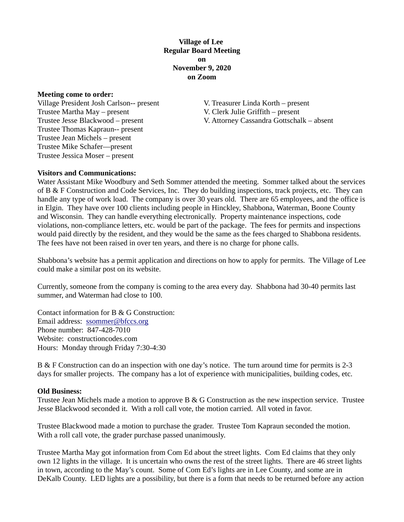## **Village of Lee Regular Board Meeting on November 9, 2020 on Zoom**

#### **Meeting come to order:**

Village President Josh Carlson-- present V. Treasurer Linda Korth – present Trustee Martha May – present V. Clerk Julie Griffith – present Trustee Thomas Kapraun-- present Trustee Jean Michels – present Trustee Mike Schafer—present Trustee Jessica Moser – present

Trustee Jesse Blackwood – present V. Attorney Cassandra Gottschalk – absent

#### **Visitors and Communications:**

Water Assistant Mike Woodbury and Seth Sommer attended the meeting. Sommer talked about the services of B & F Construction and Code Services, Inc. They do building inspections, track projects, etc. They can handle any type of work load. The company is over 30 years old. There are 65 employees, and the office is in Elgin. They have over 100 clients including people in Hinckley, Shabbona, Waterman, Boone County and Wisconsin. They can handle everything electronically. Property maintenance inspections, code violations, non-compliance letters, etc. would be part of the package. The fees for permits and inspections would paid directly by the resident, and they would be the same as the fees charged to Shabbona residents. The fees have not been raised in over ten years, and there is no charge for phone calls.

Shabbona's website has a permit application and directions on how to apply for permits. The Village of Lee could make a similar post on its website.

Currently, someone from the company is coming to the area every day. Shabbona had 30-40 permits last summer, and Waterman had close to 100.

Contact information for B & G Construction: Email address: ssommer@bfccs.org Phone number: 847-428-7010 Website: constructioncodes.com Hours: Monday through Friday 7:30-4:30

B & F Construction can do an inspection with one day's notice. The turn around time for permits is 2-3 days for smaller projects. The company has a lot of experience with municipalities, building codes, etc.

#### **Old Business:**

Trustee Jean Michels made a motion to approve  $B \& G$  Construction as the new inspection service. Trustee Jesse Blackwood seconded it. With a roll call vote, the motion carried. All voted in favor.

Trustee Blackwood made a motion to purchase the grader. Trustee Tom Kapraun seconded the motion. With a roll call vote, the grader purchase passed unanimously.

Trustee Martha May got information from Com Ed about the street lights. Com Ed claims that they only own 12 lights in the village. It is uncertain who owns the rest of the street lights. There are 46 street lights in town, according to the May's count. Some of Com Ed's lights are in Lee County, and some are in DeKalb County. LED lights are a possibility, but there is a form that needs to be returned before any action